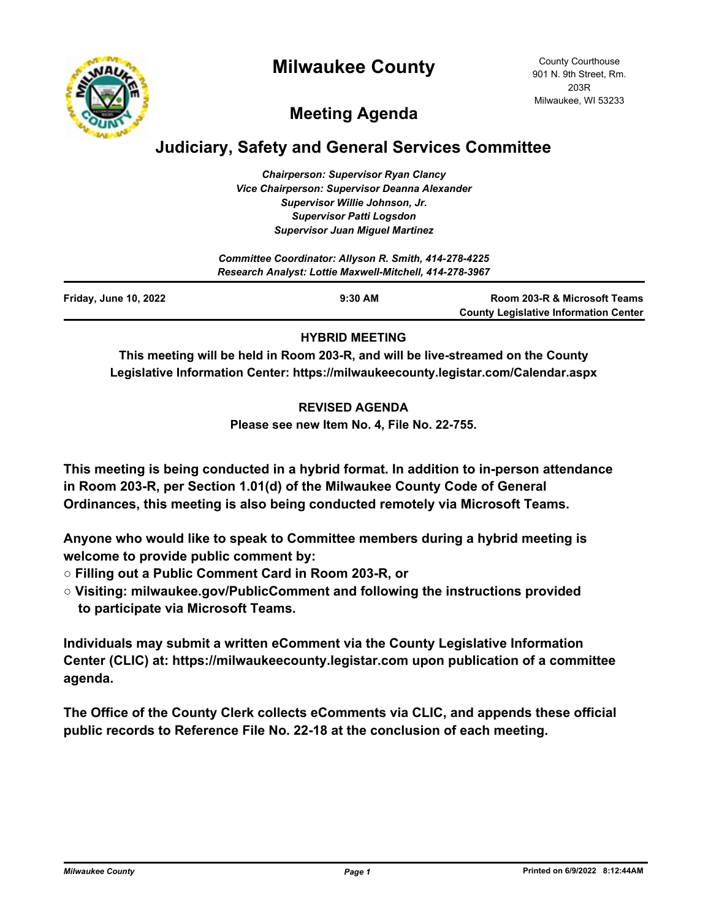



# **Meeting Agenda**

# **Judiciary, Safety and General Services Committee**

*Chairperson: Supervisor Ryan Clancy Vice Chairperson: Supervisor Deanna Alexander Supervisor Willie Johnson, Jr. Supervisor Patti Logsdon Supervisor Juan Miguel Martinez*

| Committee Coordinator: Allyson R. Smith, 414-278-4225<br>Research Analyst: Lottie Maxwell-Mitchell, 414-278-3967 |           |                                                                              |
|------------------------------------------------------------------------------------------------------------------|-----------|------------------------------------------------------------------------------|
| <b>Friday, June 10, 2022</b>                                                                                     | $9:30$ AM | Room 203-R & Microsoft Teams<br><b>County Legislative Information Center</b> |

## **HYBRID MEETING**

**This meeting will be held in Room 203-R, and will be live-streamed on the County Legislative Information Center: https://milwaukeecounty.legistar.com/Calendar.aspx**

### **REVISED AGENDA**

**Please see new Item No. 4, File No. 22-755.**

**This meeting is being conducted in a hybrid format. In addition to in-person attendance in Room 203-R, per Section 1.01(d) of the Milwaukee County Code of General Ordinances, this meeting is also being conducted remotely via Microsoft Teams.**

**Anyone who would like to speak to Committee members during a hybrid meeting is welcome to provide public comment by:**

- **Filling out a Public Comment Card in Room 203-R, or**
- **Visiting: milwaukee.gov/PublicComment and following the instructions provided to participate via Microsoft Teams.**

**Individuals may submit a written eComment via the County Legislative Information Center (CLIC) at: https://milwaukeecounty.legistar.com upon publication of a committee agenda.**

**The Office of the County Clerk collects eComments via CLIC, and appends these official public records to Reference File No. 22-18 at the conclusion of each meeting.**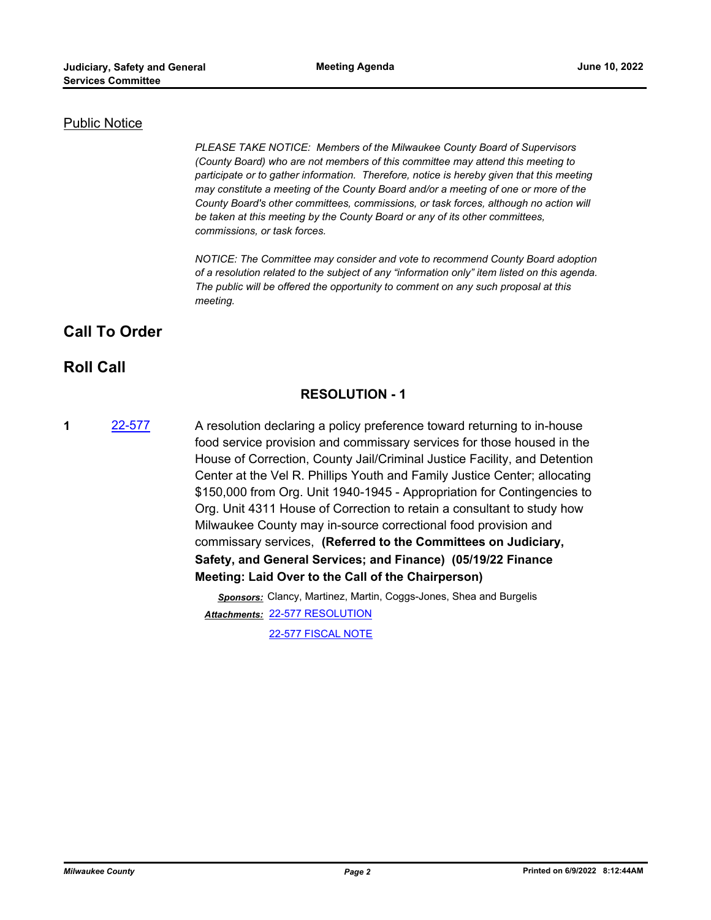### Public Notice

*PLEASE TAKE NOTICE: Members of the Milwaukee County Board of Supervisors (County Board) who are not members of this committee may attend this meeting to participate or to gather information. Therefore, notice is hereby given that this meeting may constitute a meeting of the County Board and/or a meeting of one or more of the County Board's other committees, commissions, or task forces, although no action will be taken at this meeting by the County Board or any of its other committees, commissions, or task forces.*

*NOTICE: The Committee may consider and vote to recommend County Board adoption of a resolution related to the subject of any "information only" item listed on this agenda. The public will be offered the opportunity to comment on any such proposal at this meeting.*

## **Call To Order**

## **Roll Call**

## **RESOLUTION - 1**

**1** [22-577](http://milwaukeecounty.legistar.com/gateway.aspx?m=l&id=/matter.aspx?key=12237) A resolution declaring a policy preference toward returning to in-house food service provision and commissary services for those housed in the House of Correction, County Jail/Criminal Justice Facility, and Detention Center at the Vel R. Phillips Youth and Family Justice Center; allocating \$150,000 from Org. Unit 1940-1945 - Appropriation for Contingencies to Org. Unit 4311 House of Correction to retain a consultant to study how Milwaukee County may in-source correctional food provision and commissary services, **(Referred to the Committees on Judiciary, Safety, and General Services; and Finance) (05/19/22 Finance Meeting: Laid Over to the Call of the Chairperson)**

> *Sponsors:* Clancy, Martinez, Martin, Coggs-Jones, Shea and Burgelis [22-577 RESOLUTION](http://MilwaukeeCounty.legistar.com/gateway.aspx?M=F&ID=64860732-bf08-46cb-8496-f08187f6f35d.docx) *Attachments:* [22-577 FISCAL NOTE](http://MilwaukeeCounty.legistar.com/gateway.aspx?M=F&ID=b4d503b9-e5fc-4183-b826-7aaef164135c.pdf)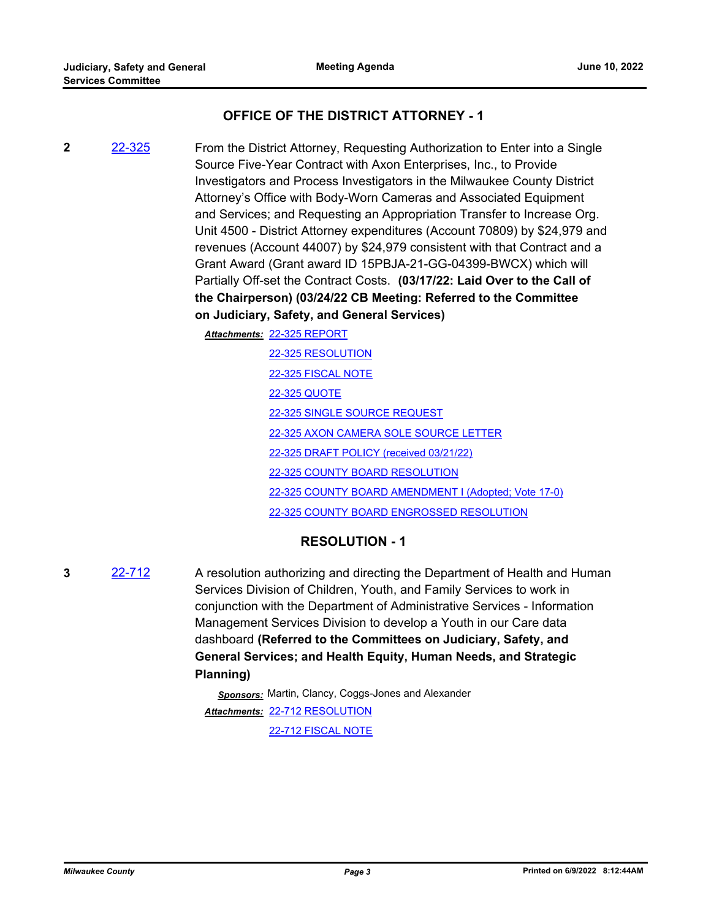## **OFFICE OF THE DISTRICT ATTORNEY - 1**

**2** [22-325](http://milwaukeecounty.legistar.com/gateway.aspx?m=l&id=/matter.aspx?key=11939) From the District Attorney, Requesting Authorization to Enter into a Single Source Five-Year Contract with Axon Enterprises, Inc., to Provide Investigators and Process Investigators in the Milwaukee County District Attorney's Office with Body-Worn Cameras and Associated Equipment and Services; and Requesting an Appropriation Transfer to Increase Org. Unit 4500 - District Attorney expenditures (Account 70809) by \$24,979 and revenues (Account 44007) by \$24,979 consistent with that Contract and a Grant Award (Grant award ID 15PBJA-21-GG-04399-BWCX) which will Partially Off-set the Contract Costs. **(03/17/22: Laid Over to the Call of the Chairperson) (03/24/22 CB Meeting: Referred to the Committee on Judiciary, Safety, and General Services)** 

[22-325 REPORT](http://MilwaukeeCounty.legistar.com/gateway.aspx?M=F&ID=a3bd87c0-eb79-42ae-90a7-56ae59848a78.pdf) *Attachments:*

[22-325 RESOLUTION](http://MilwaukeeCounty.legistar.com/gateway.aspx?M=F&ID=bf420a3a-cbb8-4e29-9384-f27d264299ba.docx) [22-325 FISCAL NOTE](http://MilwaukeeCounty.legistar.com/gateway.aspx?M=F&ID=6d65dd37-840e-4657-8da4-8ab30a22adb2.pdf) [22-325 QUOTE](http://MilwaukeeCounty.legistar.com/gateway.aspx?M=F&ID=2aefc3b1-0e2c-4296-82ca-bb5191368682.pdf) [22-325 SINGLE SOURCE REQUEST](http://MilwaukeeCounty.legistar.com/gateway.aspx?M=F&ID=c333247d-dd06-45de-a2e1-7c8fab431e66.pdf) [22-325 AXON CAMERA SOLE SOURCE LETTER](http://MilwaukeeCounty.legistar.com/gateway.aspx?M=F&ID=2f9cf845-9310-4177-bbd9-515042130c6d.pdf) [22-325 DRAFT POLICY \(received 03/21/22\)](http://MilwaukeeCounty.legistar.com/gateway.aspx?M=F&ID=937b7805-cacd-4001-acc2-9f308e0dc728.pdf) [22-325 COUNTY BOARD RESOLUTION](http://MilwaukeeCounty.legistar.com/gateway.aspx?M=F&ID=2cae6e09-586d-4e22-9ae8-71eed1ecde07.pdf) [22-325 COUNTY BOARD AMENDMENT I \(Adopted; Vote 17-0\)](http://MilwaukeeCounty.legistar.com/gateway.aspx?M=F&ID=b7b62248-f0dc-4967-bed4-64d2054fbbb4.pdf) [22-325 COUNTY BOARD ENGROSSED RESOLUTION](http://MilwaukeeCounty.legistar.com/gateway.aspx?M=F&ID=2a011805-9ed4-4e52-a5bb-ace4f7481564.pdf)

## **RESOLUTION - 1**

**3** [22-712](http://milwaukeecounty.legistar.com/gateway.aspx?m=l&id=/matter.aspx?key=12411) A resolution authorizing and directing the Department of Health and Human Services Division of Children, Youth, and Family Services to work in conjunction with the Department of Administrative Services - Information Management Services Division to develop a Youth in our Care data dashboard **(Referred to the Committees on Judiciary, Safety, and General Services; and Health Equity, Human Needs, and Strategic Planning)**

> *Sponsors:* Martin, Clancy, Coggs-Jones and Alexander [22-712 RESOLUTION](http://MilwaukeeCounty.legistar.com/gateway.aspx?M=F&ID=dd78eaf1-c607-4ef5-9595-748ac663e145.docx) *Attachments:* [22-712 FISCAL NOTE](http://MilwaukeeCounty.legistar.com/gateway.aspx?M=F&ID=1ef08ae8-561f-41bb-87bf-af01b345001d.pdf)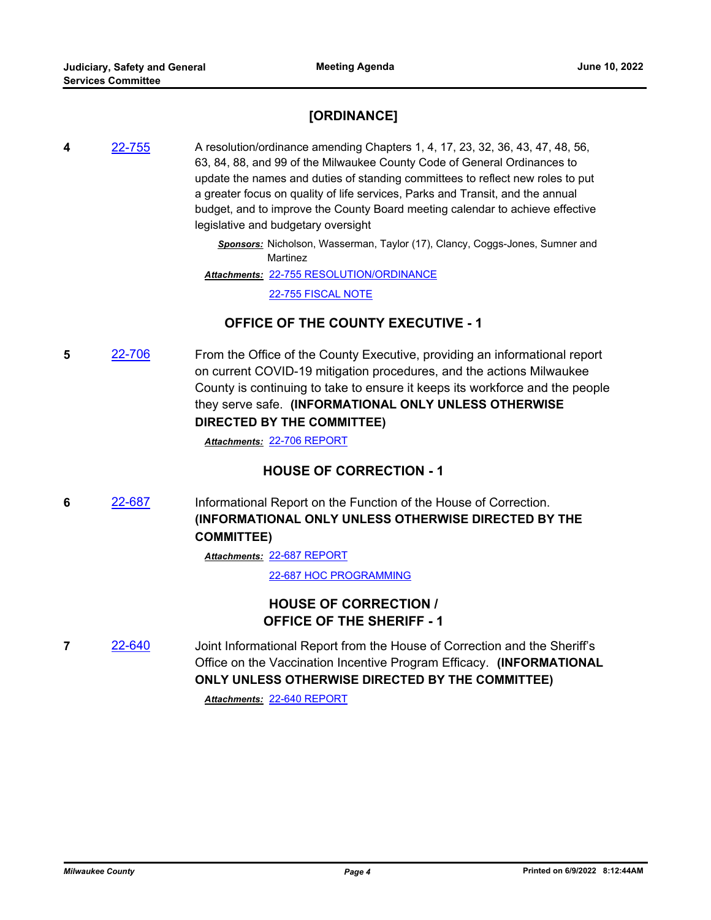## **[ORDINANCE]**

**4** [22-755](http://milwaukeecounty.legistar.com/gateway.aspx?m=l&id=/matter.aspx?key=12463) A resolution/ordinance amending Chapters 1, 4, 17, 23, 32, 36, 43, 47, 48, 56, 63, 84, 88, and 99 of the Milwaukee County Code of General Ordinances to update the names and duties of standing committees to reflect new roles to put a greater focus on quality of life services, Parks and Transit, and the annual budget, and to improve the County Board meeting calendar to achieve effective legislative and budgetary oversight

> *Sponsors:* Nicholson, Wasserman, Taylor (17), Clancy, Coggs-Jones, Sumner and Martinez

[22-755 RESOLUTION/ORDINANCE](http://MilwaukeeCounty.legistar.com/gateway.aspx?M=F&ID=246fe31c-0c21-47cc-b7d0-16946bcac4ce.docx) *Attachments:*

[22-755 FISCAL NOTE](http://MilwaukeeCounty.legistar.com/gateway.aspx?M=F&ID=e16e02dd-9066-4f28-a956-b3219eb96afc.pdf)

## **OFFICE OF THE COUNTY EXECUTIVE - 1**

**5** [22-706](http://milwaukeecounty.legistar.com/gateway.aspx?m=l&id=/matter.aspx?key=12405) From the Office of the County Executive, providing an informational report on current COVID-19 mitigation procedures, and the actions Milwaukee County is continuing to take to ensure it keeps its workforce and the people they serve safe. **(INFORMATIONAL ONLY UNLESS OTHERWISE DIRECTED BY THE COMMITTEE)**

*Attachments:* [22-706 REPORT](http://MilwaukeeCounty.legistar.com/gateway.aspx?M=F&ID=58744045-f0be-4442-a278-d4f3bc341e01.pdf)

## **HOUSE OF CORRECTION - 1**

**6** [22-687](http://milwaukeecounty.legistar.com/gateway.aspx?m=l&id=/matter.aspx?key=12386) Informational Report on the Function of the House of Correction. **(INFORMATIONAL ONLY UNLESS OTHERWISE DIRECTED BY THE COMMITTEE)**

[22-687 REPORT](http://MilwaukeeCounty.legistar.com/gateway.aspx?M=F&ID=1eb16748-713c-4e04-8ff8-741d4c44c376.pdf) *Attachments:*

[22-687 HOC PROGRAMMING](http://MilwaukeeCounty.legistar.com/gateway.aspx?M=F&ID=70a52f10-f198-4394-bffc-7c9535efd03f.pdf)

## **HOUSE OF CORRECTION / OFFICE OF THE SHERIFF - 1**

**7** [22-640](http://milwaukeecounty.legistar.com/gateway.aspx?m=l&id=/matter.aspx?key=12307) Joint Informational Report from the House of Correction and the Sheriff's Office on the Vaccination Incentive Program Efficacy. **(INFORMATIONAL ONLY UNLESS OTHERWISE DIRECTED BY THE COMMITTEE)**

*Attachments:* [22-640 REPORT](http://MilwaukeeCounty.legistar.com/gateway.aspx?M=F&ID=482deecc-299b-4f61-9f91-ea932096bf21.pdf)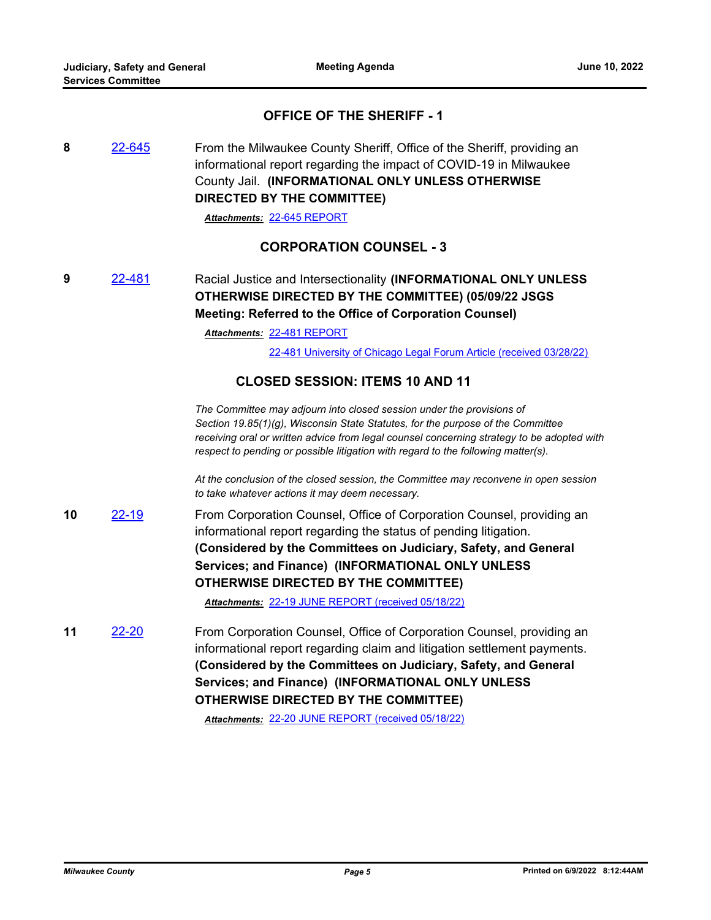## **OFFICE OF THE SHERIFF - 1**

**8** [22-645](http://milwaukeecounty.legistar.com/gateway.aspx?m=l&id=/matter.aspx?key=12313) From the Milwaukee County Sheriff, Office of the Sheriff, providing an informational report regarding the impact of COVID-19 in Milwaukee County Jail. **(INFORMATIONAL ONLY UNLESS OTHERWISE DIRECTED BY THE COMMITTEE)**

*Attachments:* [22-645 REPORT](http://MilwaukeeCounty.legistar.com/gateway.aspx?M=F&ID=032fe99c-8a87-4858-81f4-4cdc856b02d2.docx)

### **CORPORATION COUNSEL - 3**

**9** [22-481](http://milwaukeecounty.legistar.com/gateway.aspx?m=l&id=/matter.aspx?key=12132) Racial Justice and Intersectionality **(INFORMATIONAL ONLY UNLESS OTHERWISE DIRECTED BY THE COMMITTEE) (05/09/22 JSGS Meeting: Referred to the Office of Corporation Counsel)** 

[22-481 REPORT](http://MilwaukeeCounty.legistar.com/gateway.aspx?M=F&ID=c8216d6a-9aa9-4053-b39a-8c8ba66beb90.pdf) *Attachments:*

[22-481 University of Chicago Legal Forum Article \(received 03/28/22\)](http://MilwaukeeCounty.legistar.com/gateway.aspx?M=F&ID=10b1abdb-917d-4d0e-b581-bb128fe74f8a.pdf)

### **CLOSED SESSION: ITEMS 10 AND 11**

*The Committee may adjourn into closed session under the provisions of Section 19.85(1)(g), Wisconsin State Statutes, for the purpose of the Committee receiving oral or written advice from legal counsel concerning strategy to be adopted with respect to pending or possible litigation with regard to the following matter(s).* 

*At the conclusion of the closed session, the Committee may reconvene in open session to take whatever actions it may deem necessary.*

**10** [22-19](http://milwaukeecounty.legistar.com/gateway.aspx?m=l&id=/matter.aspx?key=11841) From Corporation Counsel, Office of Corporation Counsel, providing an informational report regarding the status of pending litigation. **(Considered by the Committees on Judiciary, Safety, and General Services; and Finance) (INFORMATIONAL ONLY UNLESS OTHERWISE DIRECTED BY THE COMMITTEE)**

*Attachments:* [22-19 JUNE REPORT \(received 05/18/22\)](http://MilwaukeeCounty.legistar.com/gateway.aspx?M=F&ID=23ddcdc8-a5ce-40f1-901d-89e8394b6291.pdf)

**11** [22-20](http://milwaukeecounty.legistar.com/gateway.aspx?m=l&id=/matter.aspx?key=11842) From Corporation Counsel, Office of Corporation Counsel, providing an informational report regarding claim and litigation settlement payments. **(Considered by the Committees on Judiciary, Safety, and General Services; and Finance) (INFORMATIONAL ONLY UNLESS OTHERWISE DIRECTED BY THE COMMITTEE)**

*Attachments:* [22-20 JUNE REPORT \(received 05/18/22\)](http://MilwaukeeCounty.legistar.com/gateway.aspx?M=F&ID=8e73dd96-70f8-4064-bdb0-5972b96148d6.pdf)